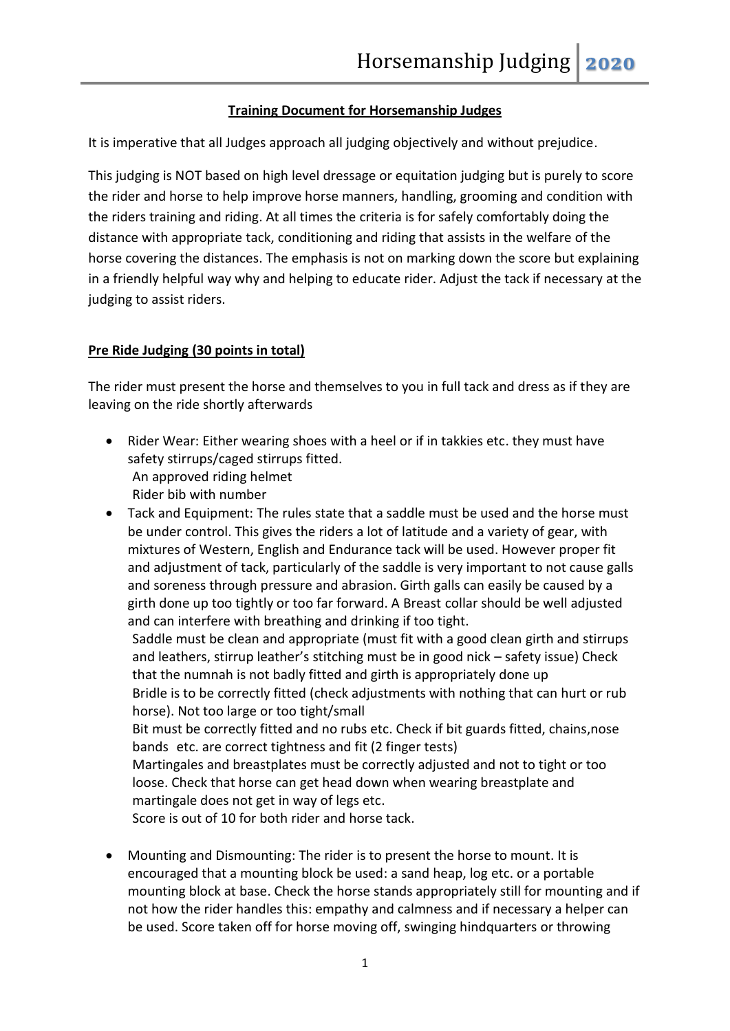# **Training Document for Horsemanship Judges**

It is imperative that all Judges approach all judging objectively and without prejudice.

This judging is NOT based on high level dressage or equitation judging but is purely to score the rider and horse to help improve horse manners, handling, grooming and condition with the riders training and riding. At all times the criteria is for safely comfortably doing the distance with appropriate tack, conditioning and riding that assists in the welfare of the horse covering the distances. The emphasis is not on marking down the score but explaining in a friendly helpful way why and helping to educate rider. Adjust the tack if necessary at the judging to assist riders.

# **Pre Ride Judging (30 points in total)**

The rider must present the horse and themselves to you in full tack and dress as if they are leaving on the ride shortly afterwards

- Rider Wear: Either wearing shoes with a heel or if in takkies etc. they must have safety stirrups/caged stirrups fitted. An approved riding helmet Rider bib with number
- Tack and Equipment: The rules state that a saddle must be used and the horse must be under control. This gives the riders a lot of latitude and a variety of gear, with mixtures of Western, English and Endurance tack will be used. However proper fit and adjustment of tack, particularly of the saddle is very important to not cause galls and soreness through pressure and abrasion. Girth galls can easily be caused by a girth done up too tightly or too far forward. A Breast collar should be well adjusted and can interfere with breathing and drinking if too tight.

Saddle must be clean and appropriate (must fit with a good clean girth and stirrups and leathers, stirrup leather's stitching must be in good nick – safety issue) Check that the numnah is not badly fitted and girth is appropriately done up Bridle is to be correctly fitted (check adjustments with nothing that can hurt or rub horse). Not too large or too tight/small Bit must be correctly fitted and no rubs etc. Check if bit guards fitted, chains,nose bands etc. are correct tightness and fit (2 finger tests) Martingales and breastplates must be correctly adjusted and not to tight or too

loose. Check that horse can get head down when wearing breastplate and martingale does not get in way of legs etc.

Score is out of 10 for both rider and horse tack.

 Mounting and Dismounting: The rider is to present the horse to mount. It is encouraged that a mounting block be used: a sand heap, log etc. or a portable mounting block at base. Check the horse stands appropriately still for mounting and if not how the rider handles this: empathy and calmness and if necessary a helper can be used. Score taken off for horse moving off, swinging hindquarters or throwing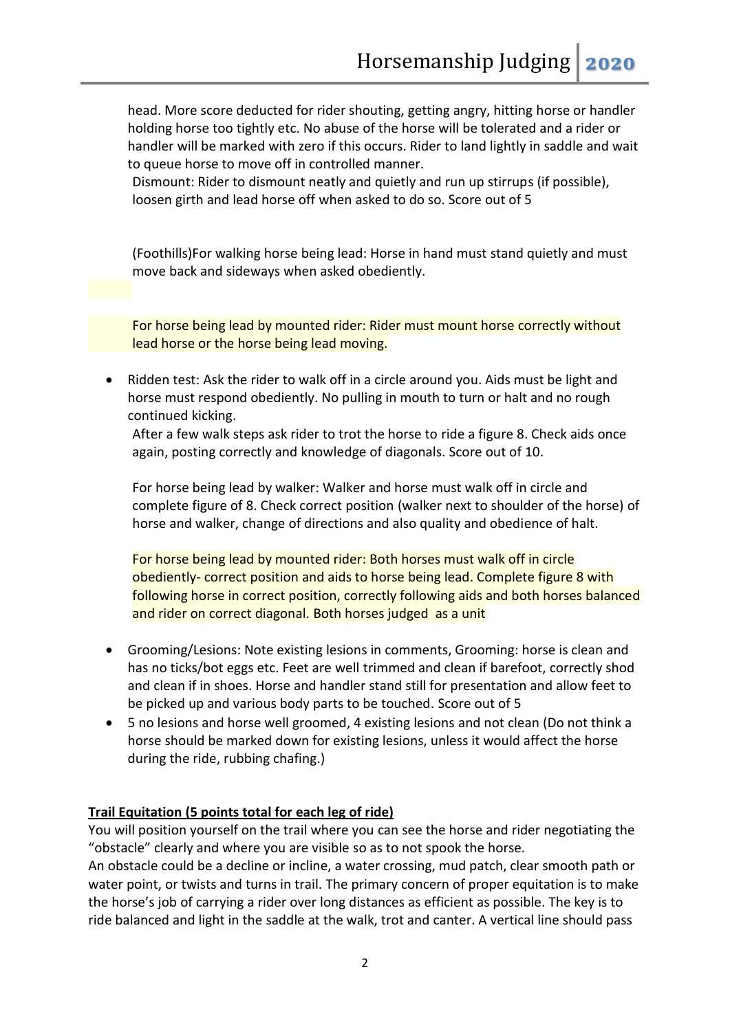head. More score deducted for rider shouting, getting angry, hitting horse or handler holding horse too tightly etc. No abuse of the horse will be tolerated and a rider or handler will be marked with zero if this occurs. Rider to land lightly in saddle and wait to queue horse to move off in controlled manner.

Dismount: Rider to dismount neatly and quietly and run up stirrups (if possible), loosen girth and lead horse off when asked to do so. Score out of 5

(Foothills)For walking horse being lead: Horse in hand must stand quietly and must move back and sideways when asked obediently.

For horse being lead by mounted rider: Rider must mount horse correctly without lead horse or the horse being lead moving.

 Ridden test: Ask the rider to walk off in a circle around you. Aids must be light and horse must respond obediently. No pulling in mouth to turn or halt and no rough continued kicking.

After a few walk steps ask rider to trot the horse to ride a figure 8. Check aids once again, posting correctly and knowledge of diagonals. Score out of 10.

For horse being lead by walker: Walker and horse must walk off in circle and complete figure of 8. Check correct position (walker next to shoulder of the horse) of horse and walker, change of directions and also quality and obedience of halt.

For horse being lead by mounted rider: Both horses must walk off in circle obediently- correct position and aids to horse being lead. Complete figure 8 with following horse in correct position, correctly following aids and both horses balanced and rider on correct diagonal. Both horses judged as a unit

- Grooming/Lesions: Note existing lesions in comments, Grooming: horse is clean and has no ticks/bot eggs etc. Feet are well trimmed and clean if barefoot, correctly shod and clean if in shoes. Horse and handler stand still for presentation and allow feet to be picked up and various body parts to be touched. Score out of 5
- 5 no lesions and horse well groomed, 4 existing lesions and not clean (Do not think a horse should be marked down for existing lesions, unless it would affect the horse during the ride, rubbing chafing.)

## **Trail Equitation (5 points total for each leg of ride)**

You will position yourself on the trail where you can see the horse and rider negotiating the "obstacle" clearly and where you are visible so as to not spook the horse.

An obstacle could be a decline or incline, a water crossing, mud patch, clear smooth path or water point, or twists and turns in trail. The primary concern of proper equitation is to make the horse's job of carrying a rider over long distances as efficient as possible. The key is to ride balanced and light in the saddle at the walk, trot and canter. A vertical line should pass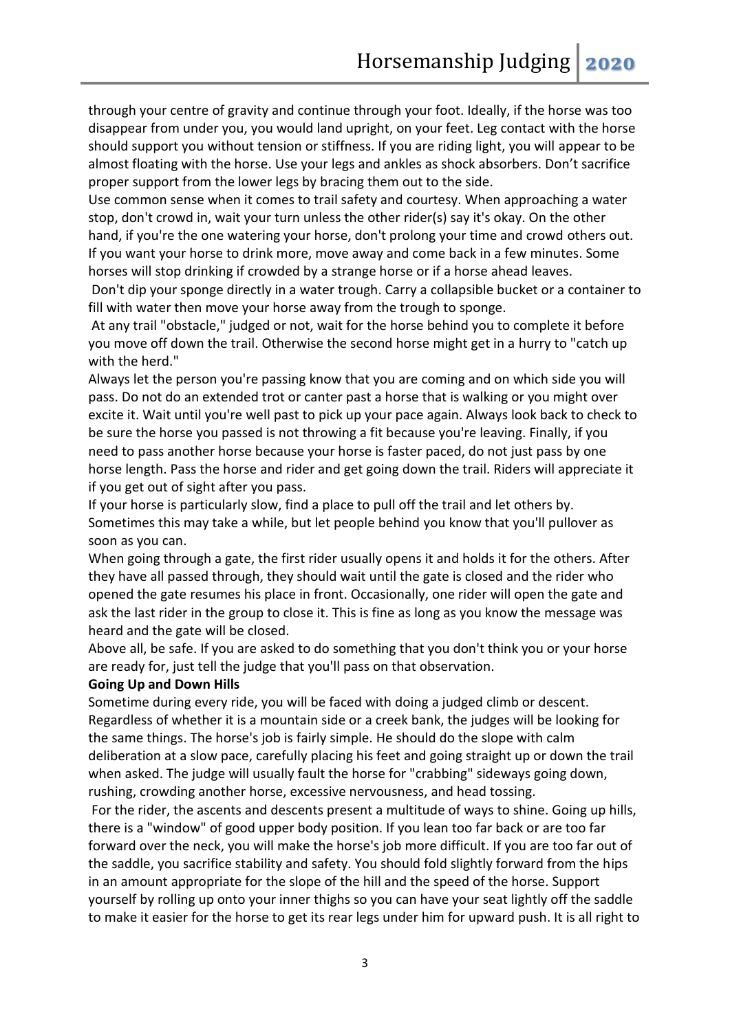through your centre of gravity and continue through your foot. Ideally, if the horse was too disappear from under you, you would land upright, on your feet. Leg contact with the horse should support you without tension or stiffness. If you are riding light, you will appear to be almost floating with the horse. Use your legs and ankles as shock absorbers. Don't sacrifice proper support from the lower legs by bracing them out to the side.

Use common sense when it comes to trail safety and courtesy. When approaching a water stop, don't crowd in, wait your turn unless the other rider(s) say it's okay. On the other hand, if you're the one watering your horse, don't prolong your time and crowd others out. If you want your horse to drink more, move away and come back in a few minutes. Some horses will stop drinking if crowded by a strange horse or if a horse ahead leaves.

Don't dip your sponge directly in a water trough. Carry a collapsible bucket or a container to fill with water then move your horse away from the trough to sponge.

At any trail "obstacle," judged or not, wait for the horse behind you to complete it before you move off down the trail. Otherwise the second horse might get in a hurry to "catch up with the herd."

Always let the person you're passing know that you are coming and on which side you will pass. Do not do an extended trot or canter past a horse that is walking or you might over excite it. Wait until you're well past to pick up your pace again. Always look back to check to be sure the horse you passed is not throwing a fit because you're leaving. Finally, if you need to pass another horse because your horse is faster paced, do not just pass by one horse length. Pass the horse and rider and get going down the trail. Riders will appreciate it if you get out of sight after you pass.

If your horse is particularly slow, find a place to pull off the trail and let others by. Sometimes this may take a while, but let people behind you know that you'll pullover as soon as you can.

When going through a gate, the first rider usually opens it and holds it for the others. After they have all passed through, they should wait until the gate is closed and the rider who opened the gate resumes his place in front. Occasionally, one rider will open the gate and ask the last rider in the group to close it. This is fine as long as you know the message was heard and the gate will be closed.

Above all, be safe. If you are asked to do something that you don't think you or your horse are ready for, just tell the judge that you'll pass on that observation.

#### **Going Up and Down Hills**

Sometime during every ride, you will be faced with doing a judged climb or descent. Regardless of whether it is a mountain side or a creek bank, the judges will be looking for the same things. The horse's job is fairly simple. He should do the slope with calm deliberation at a slow pace, carefully placing his feet and going straight up or down the trail when asked. The judge will usually fault the horse for "crabbing" sideways going down, rushing, crowding another horse, excessive nervousness, and head tossing.

For the rider, the ascents and descents present a multitude of ways to shine. Going up hills, there is a "window" of good upper body position. If you lean too far back or are too far forward over the neck, you will make the horse's job more difficult. If you are too far out of the saddle, you sacrifice stability and safety. You should fold slightly forward from the hips in an amount appropriate for the slope of the hill and the speed of the horse. Support yourself by rolling up onto your inner thighs so you can have your seat lightly off the saddle to make it easier for the horse to get its rear legs under him for upward push. It is all right to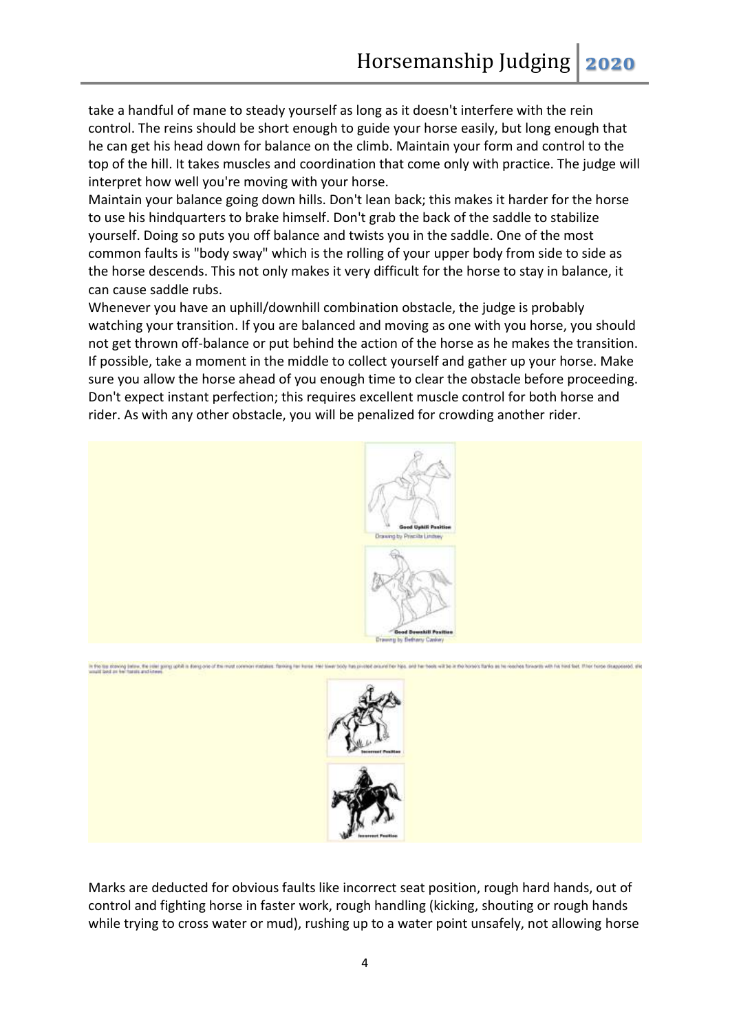take a handful of mane to steady yourself as long as it doesn't interfere with the rein control. The reins should be short enough to guide your horse easily, but long enough that he can get his head down for balance on the climb. Maintain your form and control to the top of the hill. It takes muscles and coordination that come only with practice. The judge will interpret how well you're moving with your horse.

Maintain your balance going down hills. Don't lean back; this makes it harder for the horse to use his hindquarters to brake himself. Don't grab the back of the saddle to stabilize yourself. Doing so puts you off balance and twists you in the saddle. One of the most common faults is "body sway" which is the rolling of your upper body from side to side as the horse descends. This not only makes it very difficult for the horse to stay in balance, it can cause saddle rubs.

Whenever you have an uphill/downhill combination obstacle, the judge is probably watching your transition. If you are balanced and moving as one with you horse, you should not get thrown off-balance or put behind the action of the horse as he makes the transition. If possible, take a moment in the middle to collect yourself and gather up your horse. Make sure you allow the horse ahead of you enough time to clear the obstacle before proceeding. Don't expect instant perfection; this requires excellent muscle control for both horse and rider. As with any other obstacle, you will be penalized for crowding another rider.



Marks are deducted for obvious faults like incorrect seat position, rough hard hands, out of control and fighting horse in faster work, rough handling (kicking, shouting or rough hands while trying to cross water or mud), rushing up to a water point unsafely, not allowing horse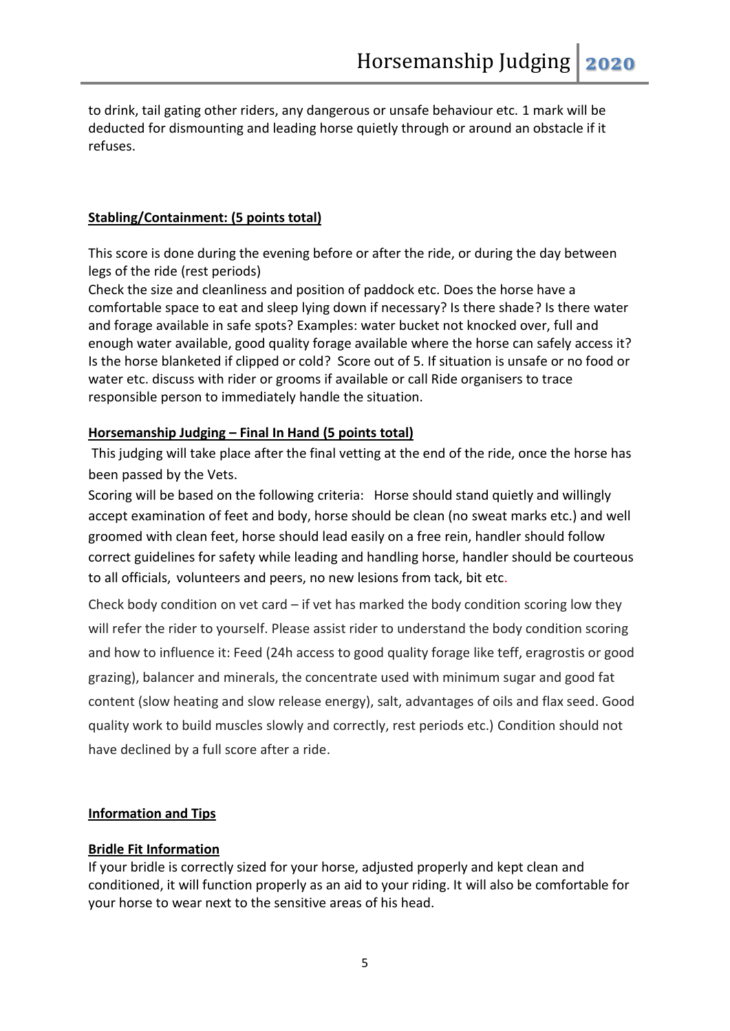to drink, tail gating other riders, any dangerous or unsafe behaviour etc. 1 mark will be deducted for dismounting and leading horse quietly through or around an obstacle if it refuses.

## **Stabling/Containment: (5 points total)**

This score is done during the evening before or after the ride, or during the day between legs of the ride (rest periods)

Check the size and cleanliness and position of paddock etc. Does the horse have a comfortable space to eat and sleep lying down if necessary? Is there shade? Is there water and forage available in safe spots? Examples: water bucket not knocked over, full and enough water available, good quality forage available where the horse can safely access it? Is the horse blanketed if clipped or cold? Score out of 5. If situation is unsafe or no food or water etc. discuss with rider or grooms if available or call Ride organisers to trace responsible person to immediately handle the situation.

#### **Horsemanship Judging – Final In Hand (5 points total)**

This judging will take place after the final vetting at the end of the ride, once the horse has been passed by the Vets.

Scoring will be based on the following criteria: Horse should stand quietly and willingly accept examination of feet and body, horse should be clean (no sweat marks etc.) and well groomed with clean feet, horse should lead easily on a free rein, handler should follow correct guidelines for safety while leading and handling horse, handler should be courteous to all officials, volunteers and peers, no new lesions from tack, bit etc.

Check body condition on vet card  $-$  if vet has marked the body condition scoring low they will refer the rider to yourself. Please assist rider to understand the body condition scoring and how to influence it: Feed (24h access to good quality forage like teff, eragrostis or good grazing), balancer and minerals, the concentrate used with minimum sugar and good fat content (slow heating and slow release energy), salt, advantages of oils and flax seed. Good quality work to build muscles slowly and correctly, rest periods etc.) Condition should not have declined by a full score after a ride.

## **Information and Tips**

#### **Bridle Fit Information**

If your bridle is correctly sized for your horse, adjusted properly and kept clean and conditioned, it will function properly as an aid to your riding. It will also be comfortable for your horse to wear next to the sensitive areas of his head.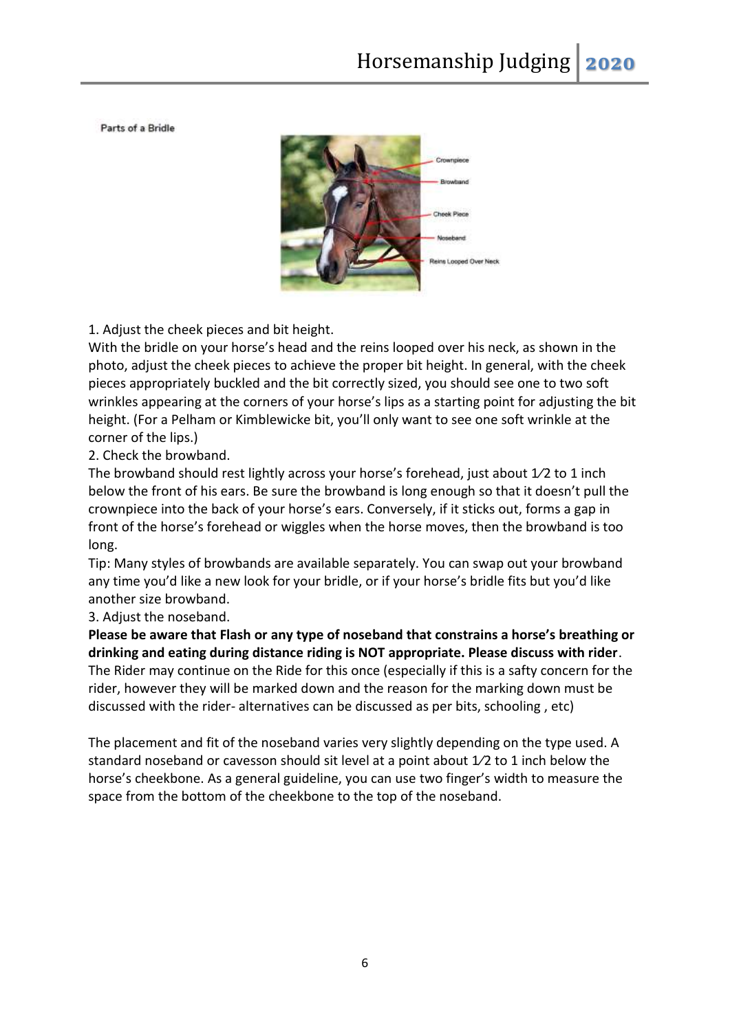Parts of a Bridle



1. Adjust the cheek pieces and bit height.

With the bridle on your horse's head and the reins looped over his neck, as shown in the photo, adjust the cheek pieces to achieve the proper bit height. In general, with the cheek pieces appropriately buckled and the bit correctly sized, you should see one to two soft wrinkles appearing at the corners of your horse's lips as a starting point for adjusting the bit height. (For a Pelham or Kimblewicke bit, you'll only want to see one soft wrinkle at the corner of the lips.)

2. Check the browband.

The browband should rest lightly across your horse's forehead, just about 1⁄2 to 1 inch below the front of his ears. Be sure the browband is long enough so that it doesn't pull the crownpiece into the back of your horse's ears. Conversely, if it sticks out, forms a gap in front of the horse's forehead or wiggles when the horse moves, then the browband is too long.

Tip: Many styles of browbands are available separately. You can swap out your browband any time you'd like a new look for your bridle, or if your horse's bridle fits but you'd like another size browband.

3. Adjust the noseband.

**Please be aware that Flash or any type of noseband that constrains a horse's breathing or drinking and eating during distance riding is NOT appropriate. Please discuss with rider**. The Rider may continue on the Ride for this once (especially if this is a safty concern for the rider, however they will be marked down and the reason for the marking down must be discussed with the rider- alternatives can be discussed as per bits, schooling , etc)

The placement and fit of the noseband varies very slightly depending on the type used. A standard noseband or cavesson should sit level at a point about  $1/2$  to 1 inch below the horse's cheekbone. As a general guideline, you can use two finger's width to measure the space from the bottom of the cheekbone to the top of the noseband.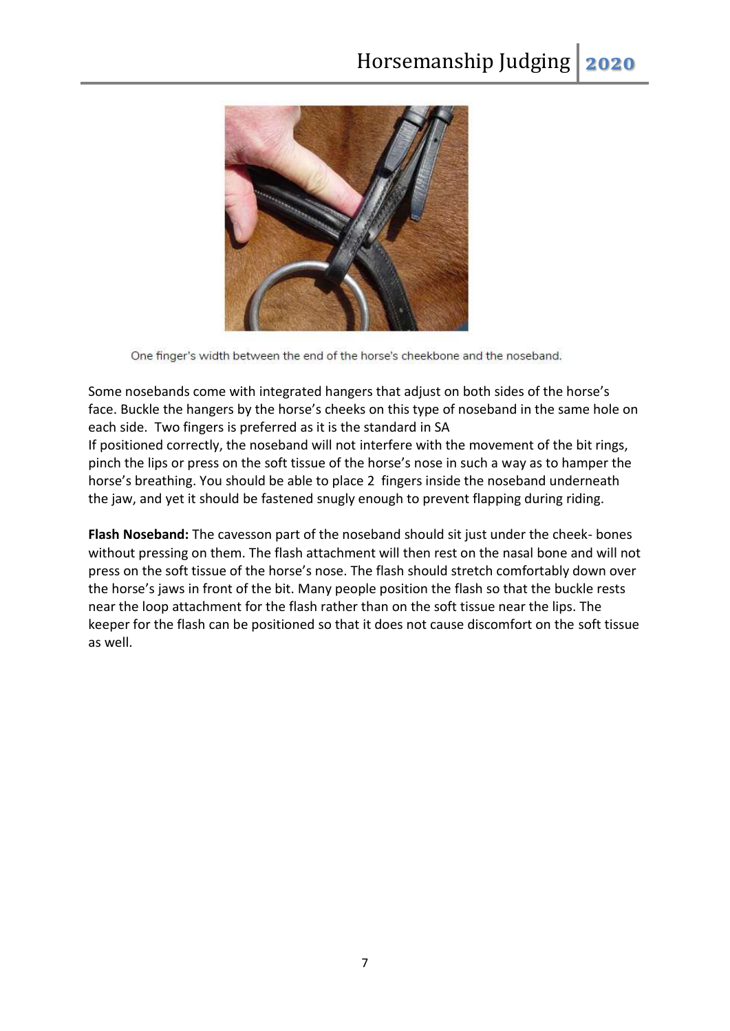

One finger's width between the end of the horse's cheekbone and the noseband.

Some nosebands come with integrated hangers that adjust on both sides of the horse's face. Buckle the hangers by the horse's cheeks on this type of noseband in the same hole on each side. Two fingers is preferred as it is the standard in SA

If positioned correctly, the noseband will not interfere with the movement of the bit rings, pinch the lips or press on the soft tissue of the horse's nose in such a way as to hamper the horse's breathing. You should be able to place 2 fingers inside the noseband underneath the jaw, and yet it should be fastened snugly enough to prevent flapping during riding.

**Flash Noseband:** The cavesson part of the noseband should sit just under the cheek- bones without pressing on them. The flash attachment will then rest on the nasal bone and will not press on the soft tissue of the horse's nose. The flash should stretch comfortably down over the horse's jaws in front of the bit. Many people position the flash so that the buckle rests near the loop attachment for the flash rather than on the soft tissue near the lips. The keeper for the flash can be positioned so that it does not cause discomfort on the soft tissue as well.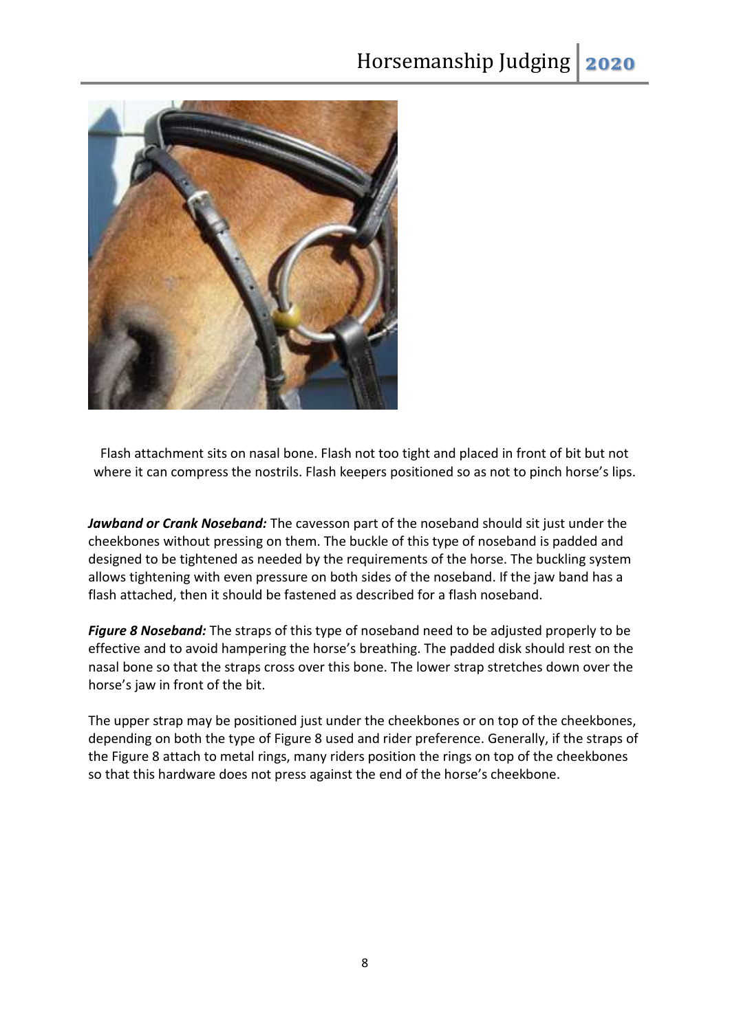

Flash attachment sits on nasal bone. Flash not too tight and placed in front of bit but not where it can compress the nostrils. Flash keepers positioned so as not to pinch horse's lips.

*Jawband or Crank Noseband:* The cavesson part of the noseband should sit just under the cheekbones without pressing on them. The buckle of this type of noseband is padded and designed to be tightened as needed by the requirements of the horse. The buckling system allows tightening with even pressure on both sides of the noseband. If the jaw band has a flash attached, then it should be fastened as described for a flash noseband.

*Figure 8 Noseband:* The straps of this type of noseband need to be adjusted properly to be effective and to avoid hampering the horse's breathing. The padded disk should rest on the nasal bone so that the straps cross over this bone. The lower strap stretches down over the horse's jaw in front of the bit.

The upper strap may be positioned just under the cheekbones or on top of the cheekbones, depending on both the type of Figure 8 used and rider preference. Generally, if the straps of the Figure 8 attach to metal rings, many riders position the rings on top of the cheekbones so that this hardware does not press against the end of the horse's cheekbone.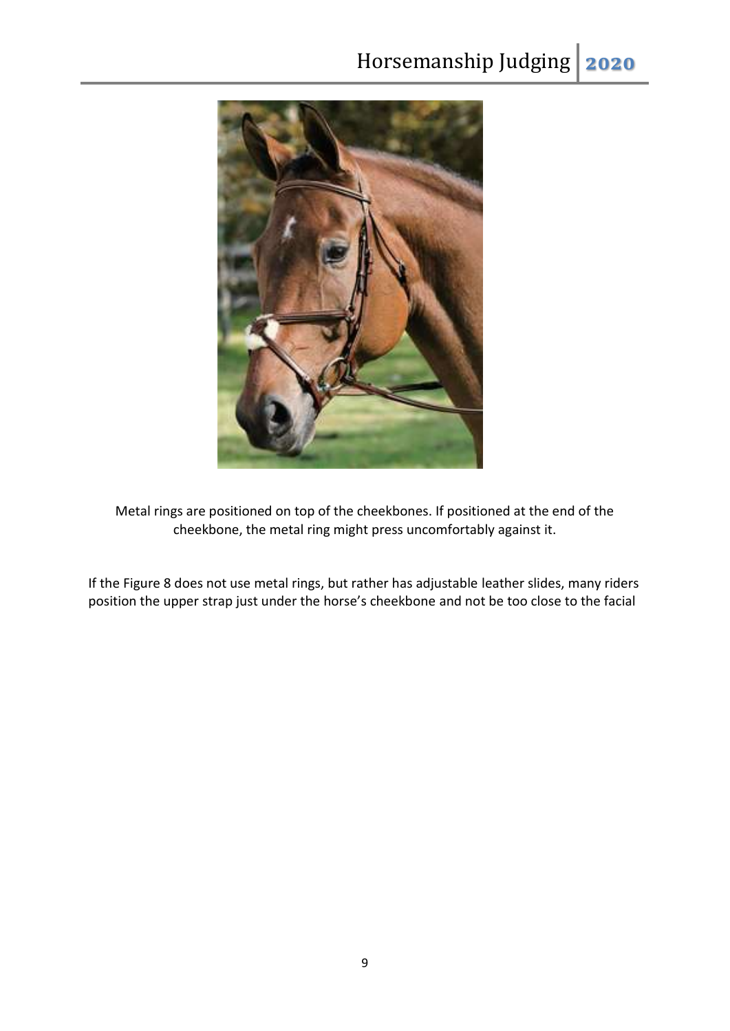

Metal rings are positioned on top of the cheekbones. If positioned at the end of the cheekbone, the metal ring might press uncomfortably against it.

If the Figure 8 does not use metal rings, but rather has adjustable leather slides, many riders position the upper strap just under the horse's cheekbone and not be too close to the facial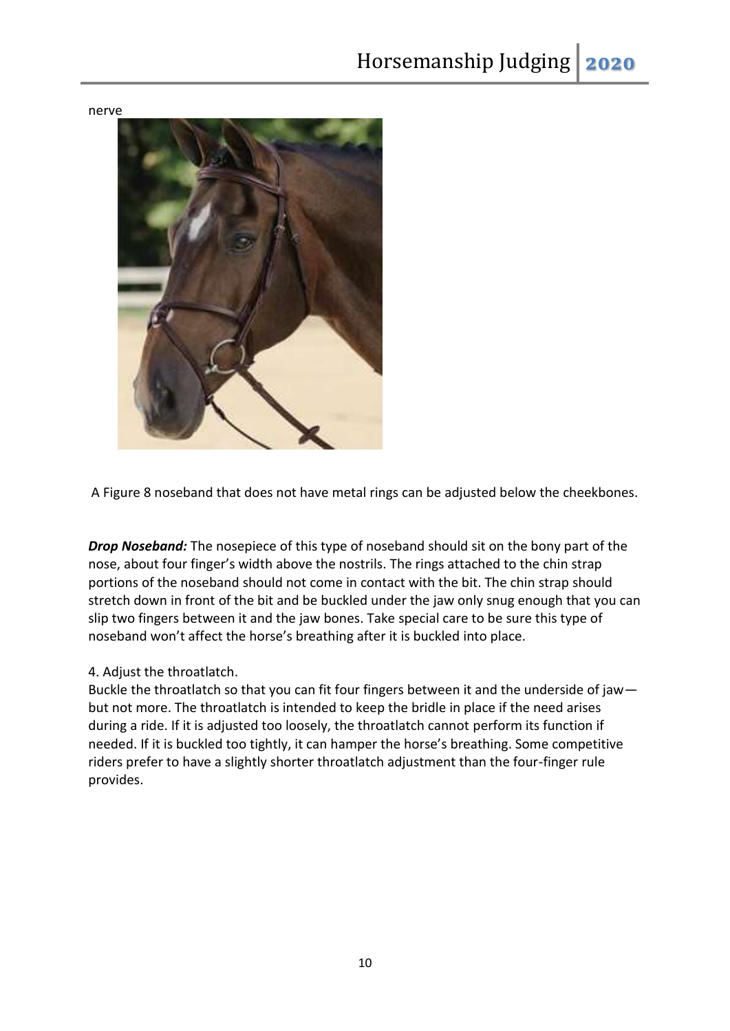nerve



A Figure 8 noseband that does not have metal rings can be adjusted below the cheekbones.

*Drop Noseband:* The nosepiece of this type of noseband should sit on the bony part of the nose, about four finger's width above the nostrils. The rings attached to the chin strap portions of the noseband should not come in contact with the bit. The chin strap should stretch down in front of the bit and be buckled under the jaw only snug enough that you can slip two fingers between it and the jaw bones. Take special care to be sure this type of noseband won't affect the horse's breathing after it is buckled into place.

## 4. Adjust the throatlatch.

Buckle the throatlatch so that you can fit four fingers between it and the underside of jaw but not more. The throatlatch is intended to keep the bridle in place if the need arises during a ride. If it is adjusted too loosely, the throatlatch cannot perform its function if needed. If it is buckled too tightly, it can hamper the horse's breathing. Some competitive riders prefer to have a slightly shorter throatlatch adjustment than the four-finger rule provides.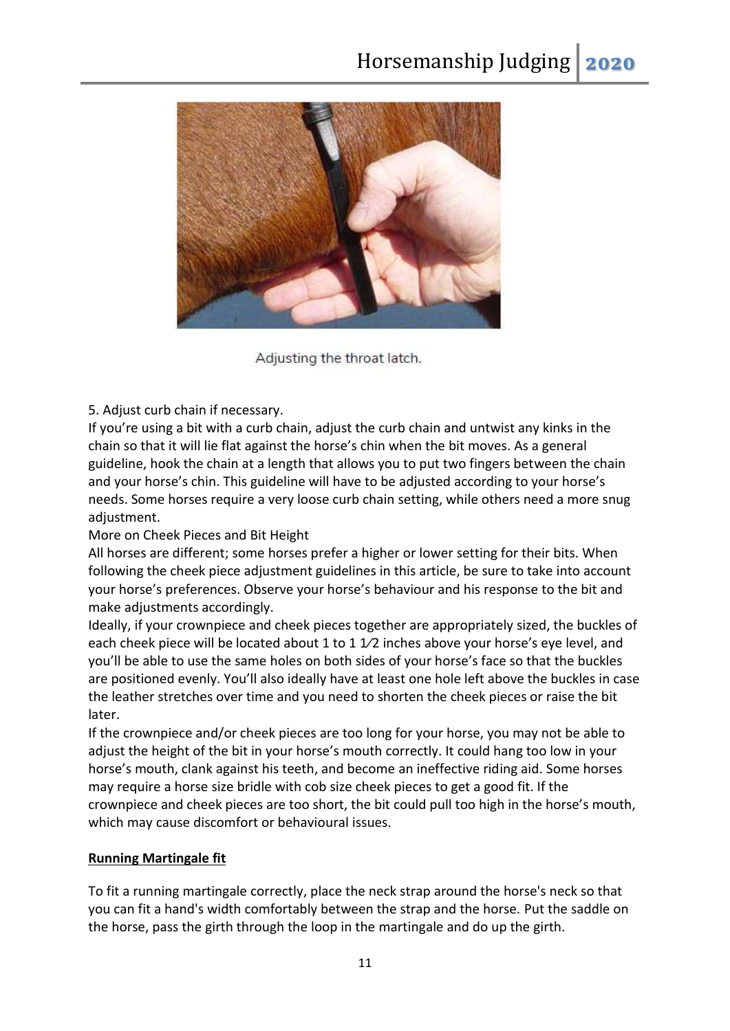

Adjusting the throat latch.

5. Adjust curb chain if necessary.

If you're using a bit with a curb chain, adjust the curb chain and untwist any kinks in the chain so that it will lie flat against the horse's chin when the bit moves. As a general guideline, hook the chain at a length that allows you to put two fingers between the chain and your horse's chin. This guideline will have to be adjusted according to your horse's needs. Some horses require a very loose curb chain setting, while others need a more snug adjustment.

More on Cheek Pieces and Bit Height

All horses are different; some horses prefer a higher or lower setting for their bits. When following the cheek piece adjustment guidelines in this article, be sure to take into account your horse's preferences. Observe your horse's behaviour and his response to the bit and make adjustments accordingly.

Ideally, if your crownpiece and cheek pieces together are appropriately sized, the buckles of each cheek piece will be located about 1 to 1 1/2 inches above your horse's eye level, and you'll be able to use the same holes on both sides of your horse's face so that the buckles are positioned evenly. You'll also ideally have at least one hole left above the buckles in case the leather stretches over time and you need to shorten the cheek pieces or raise the bit later.

If the crownpiece and/or cheek pieces are too long for your horse, you may not be able to adjust the height of the bit in your horse's mouth correctly. It could hang too low in your horse's mouth, clank against his teeth, and become an ineffective riding aid. Some horses may require a horse size bridle with cob size cheek pieces to get a good fit. If the crownpiece and cheek pieces are too short, the bit could pull too high in the horse's mouth, which may cause discomfort or behavioural issues.

# **Running Martingale fit**

To fit a running martingale correctly, place the neck strap around the horse's neck so that you can fit a hand's width comfortably between the strap and the horse. Put the saddle on the horse, pass the girth through the loop in the martingale and do up the girth.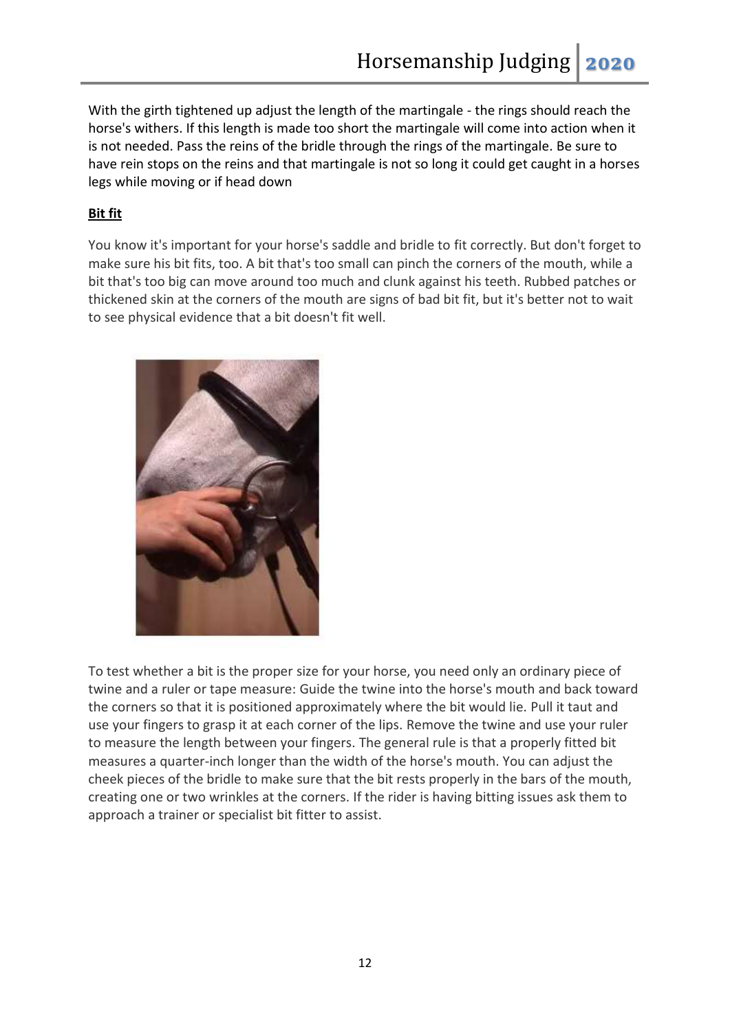With the girth tightened up adjust the length of the martingale - the rings should reach the horse's withers. If this length is made too short the martingale will come into action when it is not needed. Pass the reins of the bridle through the rings of the martingale. Be sure to have rein stops on the reins and that martingale is not so long it could get caught in a horses legs while moving or if head down

# **Bit fit**

You know it's important for your horse's saddle and bridle to fit correctly. But don't forget to make sure his bit fits, too. A bit that's too small can pinch the corners of the mouth, while a bit that's too big can move around too much and clunk against his teeth. Rubbed patches or thickened skin at the corners of the mouth are signs of bad bit fit, but it's better not to wait to see physical evidence that a bit doesn't fit well.



To test whether a bit is the proper size for your horse, you need only an ordinary piece of twine and a ruler or tape measure: Guide the twine into the horse's mouth and back toward the corners so that it is positioned approximately where the bit would lie. Pull it taut and use your fingers to grasp it at each corner of the lips. Remove the twine and use your ruler to measure the length between your fingers. The general rule is that a properly fitted bit measures a quarter-inch longer than the width of the horse's mouth. You can adjust the cheek pieces of the bridle to make sure that the bit rests properly in the bars of the mouth, creating one or two wrinkles at the corners. If the rider is having bitting issues ask them to approach a trainer or specialist bit fitter to assist.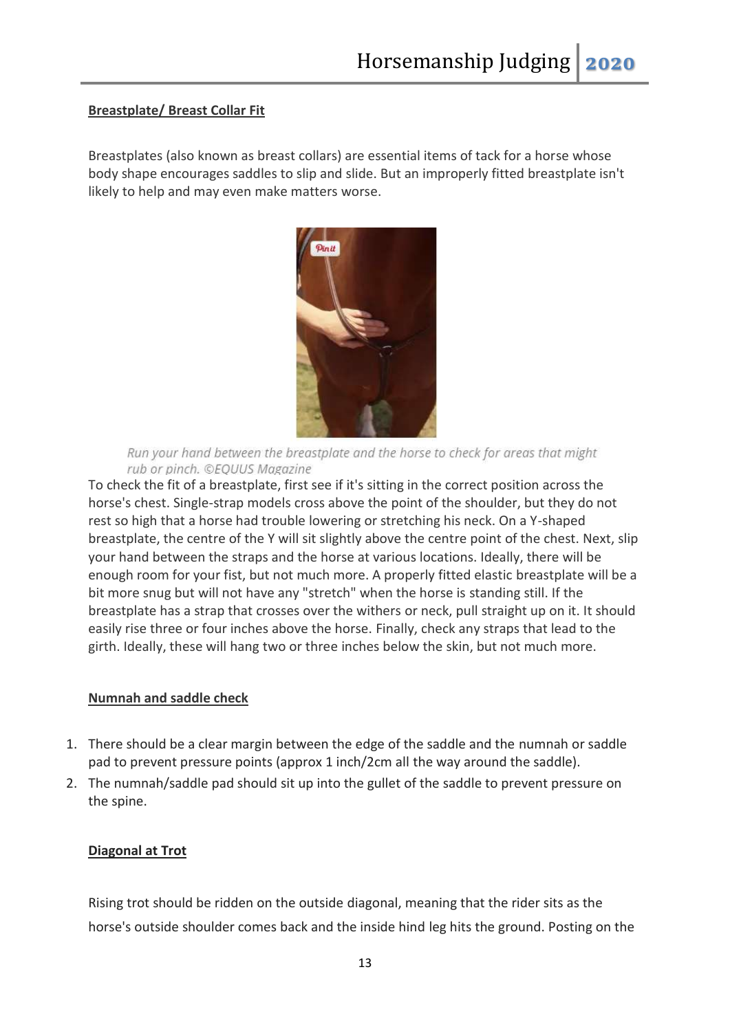#### **Breastplate/ Breast Collar Fit**

Breastplates (also known as breast collars) are essential items of tack for a horse whose body shape encourages saddles to slip and slide. But an improperly fitted breastplate isn't likely to help and may even make matters worse.



Run your hand between the breastplate and the horse to check for areas that might rub or pinch. ©EQUUS Magazine

To check the fit of a breastplate, first see if it's sitting in the correct position across the horse's chest. Single-strap models cross above the point of the shoulder, but they do not rest so high that a horse had trouble lowering or stretching his neck. On a Y-shaped breastplate, the centre of the Y will sit slightly above the centre point of the chest. Next, slip your hand between the straps and the horse at various locations. Ideally, there will be enough room for your fist, but not much more. A properly fitted elastic breastplate will be a bit more snug but will not have any "stretch" when the horse is standing still. If the breastplate has a strap that crosses over the withers or neck, pull straight up on it. It should easily rise three or four inches above the horse. Finally, check any straps that lead to the girth. Ideally, these will hang two or three inches below the skin, but not much more.

#### **Numnah and saddle check**

- 1. There should be a clear margin between the edge of the saddle and the numnah or saddle pad to prevent pressure points (approx 1 inch/2cm all the way around the saddle).
- 2. The numnah/saddle pad should sit up into the gullet of the saddle to prevent pressure on the spine.

## **Diagonal at Trot**

Rising trot should be ridden on the outside diagonal, meaning that the rider sits as the horse's outside shoulder comes back and the inside hind leg hits the ground. Posting on the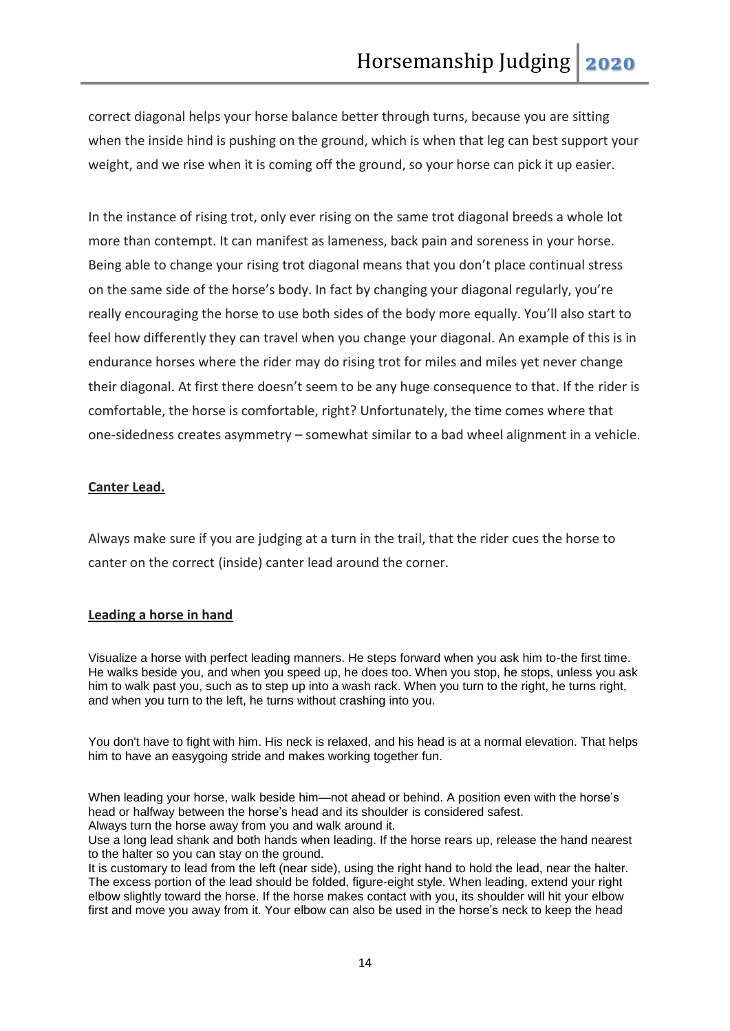correct diagonal helps your horse balance better through turns, because you are sitting when the inside hind is pushing on the ground, which is when that leg can best support your weight, and we rise when it is coming off the ground, so your horse can pick it up easier.

In the instance of rising trot, only ever rising on the same trot diagonal breeds a whole lot more than contempt. It can manifest as lameness, back pain and soreness in your horse. Being able to change your rising trot diagonal means that you don't place continual stress on the same side of the horse's body. In fact by changing your diagonal regularly, you're really encouraging the horse to use both sides of the body more equally. You'll also start to feel how differently they can travel when you change your diagonal. An example of this is in endurance horses where the rider may do rising trot for miles and miles yet never change their diagonal. At first there doesn't seem to be any huge consequence to that. If the rider is comfortable, the horse is comfortable, right? Unfortunately, the time comes where that one-sidedness creates asymmetry – somewhat similar to a bad wheel alignment in a vehicle.

## **Canter Lead.**

Always make sure if you are judging at a turn in the trail, that the rider cues the horse to canter on the correct (inside) canter lead around the corner.

#### **Leading a horse in hand**

Visualize a horse with perfect leading manners. He steps forward when you ask him to-the first time. He walks beside you, and when you speed up, he does too. When you stop, he stops, unless you ask him to walk past you, such as to step up into a wash rack. When you turn to the right, he turns right, and when you turn to the left, he turns without crashing into you.

You don't have to fight with him. His neck is relaxed, and his head is at a normal elevation. That helps him to have an easygoing stride and makes working together fun.

When leading your horse, walk beside him—not ahead or behind. A position even with the horse's head or halfway between the horse's head and its shoulder is considered safest. Always turn the horse away from you and walk around it.

Use a long lead shank and both hands when leading. If the horse rears up, release the hand nearest to the halter so you can stay on the ground.

It is customary to lead from the left (near side), using the right hand to hold the lead, near the halter. The excess portion of the lead should be folded, figure-eight style. When leading, extend your right elbow slightly toward the horse. If the horse makes contact with you, its shoulder will hit your elbow first and move you away from it. Your elbow can also be used in the horse's neck to keep the head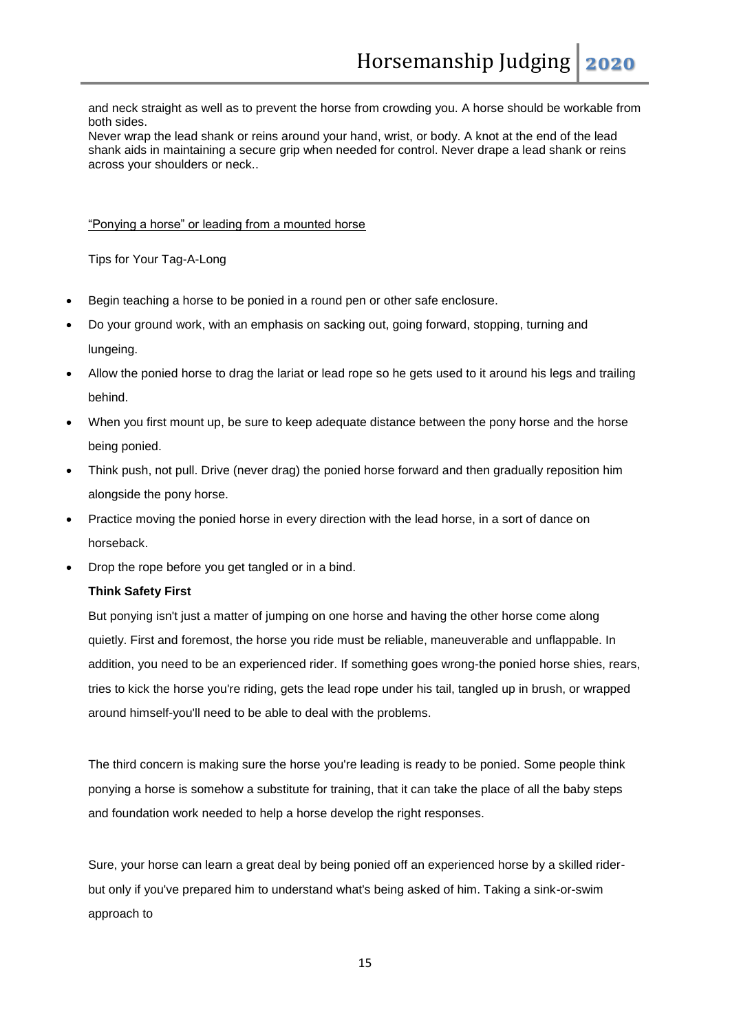and neck straight as well as to prevent the horse from crowding you. A horse should be workable from both sides.

Never wrap the lead shank or reins around your hand, wrist, or body. A knot at the end of the lead shank aids in maintaining a secure grip when needed for control. Never drape a lead shank or reins across your shoulders or neck..

"Ponying a horse" or leading from a mounted horse

Tips for Your Tag-A-Long

- Begin teaching a horse to be ponied in a round pen or other safe enclosure.
- Do your ground work, with an emphasis on sacking out, going forward, stopping, turning and lungeing.
- Allow the ponied horse to drag the lariat or lead rope so he gets used to it around his legs and trailing behind.
- When you first mount up, be sure to keep adequate distance between the pony horse and the horse being ponied.
- Think push, not pull. Drive (never drag) the ponied horse forward and then gradually reposition him alongside the pony horse.
- Practice moving the ponied horse in every direction with the lead horse, in a sort of dance on horseback.
- Drop the rope before you get tangled or in a bind.

#### **Think Safety First**

But ponying isn't just a matter of jumping on one horse and having the other horse come along quietly. First and foremost, the horse you ride must be reliable, maneuverable and unflappable. In addition, you need to be an experienced rider. If something goes wrong-the ponied horse shies, rears, tries to kick the horse you're riding, gets the lead rope under his tail, tangled up in brush, or wrapped around himself-you'll need to be able to deal with the problems.

The third concern is making sure the horse you're leading is ready to be ponied. Some people think ponying a horse is somehow a substitute for training, that it can take the place of all the baby steps and foundation work needed to help a horse develop the right responses.

Sure, your horse can learn a great deal by being ponied off an experienced horse by a skilled riderbut only if you've prepared him to understand what's being asked of him. Taking a sink-or-swim approach to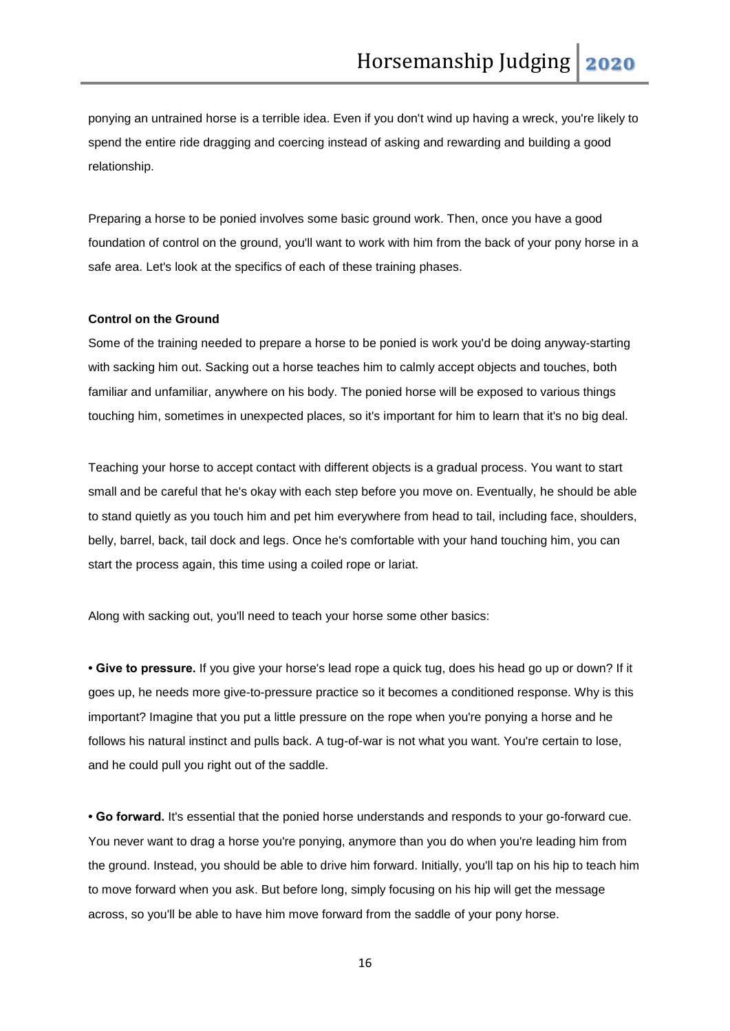ponying an untrained horse is a terrible idea. Even if you don't wind up having a wreck, you're likely to spend the entire ride dragging and coercing instead of asking and rewarding and building a good relationship.

Preparing a horse to be ponied involves some basic ground work. Then, once you have a good foundation of control on the ground, you'll want to work with him from the back of your pony horse in a safe area. Let's look at the specifics of each of these training phases.

#### **Control on the Ground**

Some of the training needed to prepare a horse to be ponied is work you'd be doing anyway-starting with sacking him out. Sacking out a horse teaches him to calmly accept objects and touches, both familiar and unfamiliar, anywhere on his body. The ponied horse will be exposed to various things touching him, sometimes in unexpected places, so it's important for him to learn that it's no big deal.

Teaching your horse to accept contact with different objects is a gradual process. You want to start small and be careful that he's okay with each step before you move on. Eventually, he should be able to stand quietly as you touch him and pet him everywhere from head to tail, including face, shoulders, belly, barrel, back, tail dock and legs. Once he's comfortable with your hand touching him, you can start the process again, this time using a coiled rope or lariat.

Along with sacking out, you'll need to teach your horse some other basics:

**• Give to pressure.** If you give your horse's lead rope a quick tug, does his head go up or down? If it goes up, he needs more give-to-pressure practice so it becomes a conditioned response. Why is this important? Imagine that you put a little pressure on the rope when you're ponying a horse and he follows his natural instinct and pulls back. A tug-of-war is not what you want. You're certain to lose, and he could pull you right out of the saddle.

**• Go forward.** It's essential that the ponied horse understands and responds to your go-forward cue. You never want to drag a horse you're ponying, anymore than you do when you're leading him from the ground. Instead, you should be able to drive him forward. Initially, you'll tap on his hip to teach him to move forward when you ask. But before long, simply focusing on his hip will get the message across, so you'll be able to have him move forward from the saddle of your pony horse.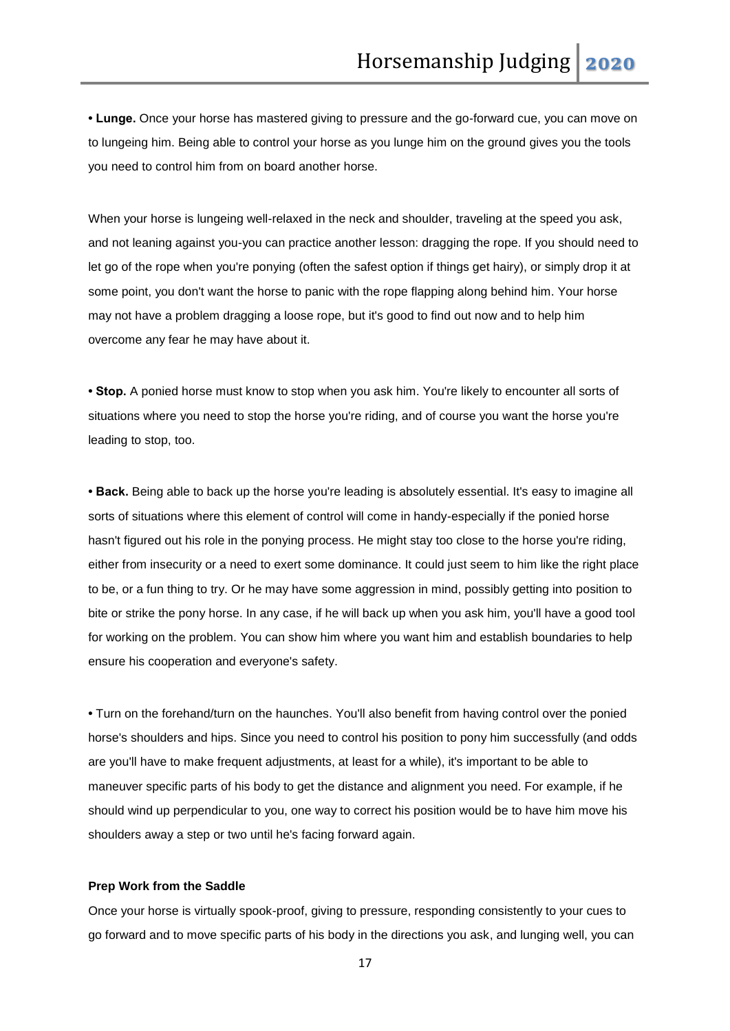**• Lunge.** Once your horse has mastered giving to pressure and the go-forward cue, you can move on to lungeing him. Being able to control your horse as you lunge him on the ground gives you the tools you need to control him from on board another horse.

When your horse is lungeing well-relaxed in the neck and shoulder, traveling at the speed you ask, and not leaning against you-you can practice another lesson: dragging the rope. If you should need to let go of the rope when you're ponying (often the safest option if things get hairy), or simply drop it at some point, you don't want the horse to panic with the rope flapping along behind him. Your horse may not have a problem dragging a loose rope, but it's good to find out now and to help him overcome any fear he may have about it.

**• Stop.** A ponied horse must know to stop when you ask him. You're likely to encounter all sorts of situations where you need to stop the horse you're riding, and of course you want the horse you're leading to stop, too.

**• Back.** Being able to back up the horse you're leading is absolutely essential. It's easy to imagine all sorts of situations where this element of control will come in handy-especially if the ponied horse hasn't figured out his role in the ponying process. He might stay too close to the horse you're riding, either from insecurity or a need to exert some dominance. It could just seem to him like the right place to be, or a fun thing to try. Or he may have some aggression in mind, possibly getting into position to bite or strike the pony horse. In any case, if he will back up when you ask him, you'll have a good tool for working on the problem. You can show him where you want him and establish boundaries to help ensure his cooperation and everyone's safety.

**•** Turn on the forehand/turn on the haunches. You'll also benefit from having control over the ponied horse's shoulders and hips. Since you need to control his position to pony him successfully (and odds are you'll have to make frequent adjustments, at least for a while), it's important to be able to maneuver specific parts of his body to get the distance and alignment you need. For example, if he should wind up perpendicular to you, one way to correct his position would be to have him move his shoulders away a step or two until he's facing forward again.

#### **Prep Work from the Saddle**

Once your horse is virtually spook-proof, giving to pressure, responding consistently to your cues to go forward and to move specific parts of his body in the directions you ask, and lunging well, you can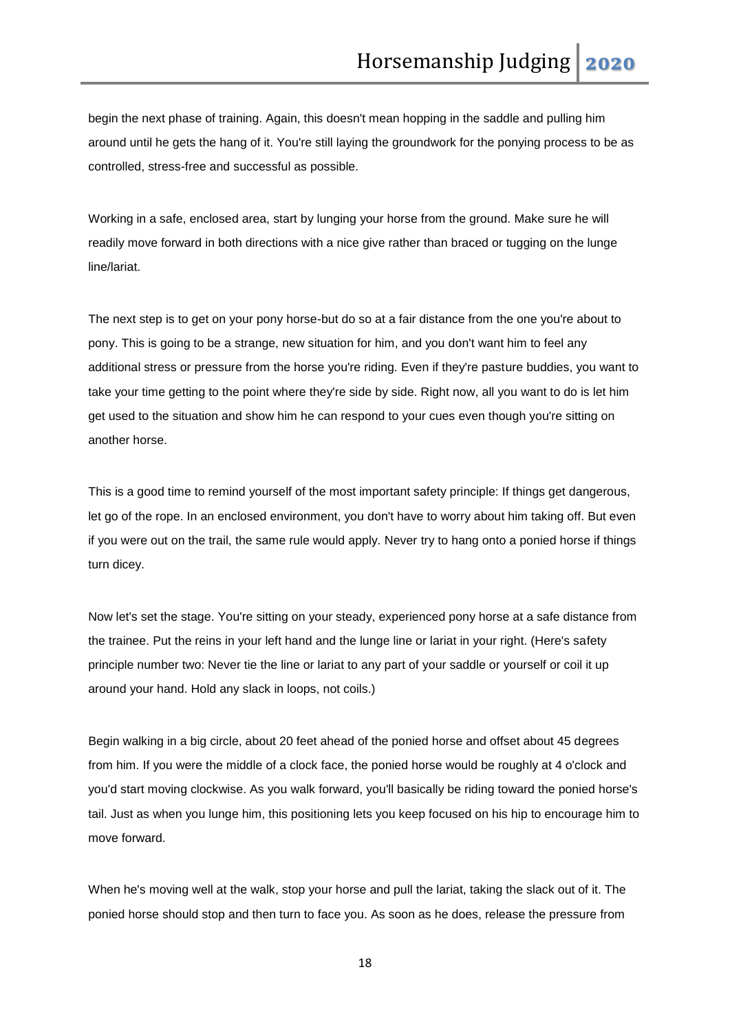begin the next phase of training. Again, this doesn't mean hopping in the saddle and pulling him around until he gets the hang of it. You're still laying the groundwork for the ponying process to be as controlled, stress-free and successful as possible.

Working in a safe, enclosed area, start by lunging your horse from the ground. Make sure he will readily move forward in both directions with a nice give rather than braced or tugging on the lunge line/lariat.

The next step is to get on your pony horse-but do so at a fair distance from the one you're about to pony. This is going to be a strange, new situation for him, and you don't want him to feel any additional stress or pressure from the horse you're riding. Even if they're pasture buddies, you want to take your time getting to the point where they're side by side. Right now, all you want to do is let him get used to the situation and show him he can respond to your cues even though you're sitting on another horse.

This is a good time to remind yourself of the most important safety principle: If things get dangerous, let go of the rope. In an enclosed environment, you don't have to worry about him taking off. But even if you were out on the trail, the same rule would apply. Never try to hang onto a ponied horse if things turn dicey.

Now let's set the stage. You're sitting on your steady, experienced pony horse at a safe distance from the trainee. Put the reins in your left hand and the lunge line or lariat in your right. (Here's safety principle number two: Never tie the line or lariat to any part of your saddle or yourself or coil it up around your hand. Hold any slack in loops, not coils.)

Begin walking in a big circle, about 20 feet ahead of the ponied horse and offset about 45 degrees from him. If you were the middle of a clock face, the ponied horse would be roughly at 4 o'clock and you'd start moving clockwise. As you walk forward, you'll basically be riding toward the ponied horse's tail. Just as when you lunge him, this positioning lets you keep focused on his hip to encourage him to move forward.

When he's moving well at the walk, stop your horse and pull the lariat, taking the slack out of it. The ponied horse should stop and then turn to face you. As soon as he does, release the pressure from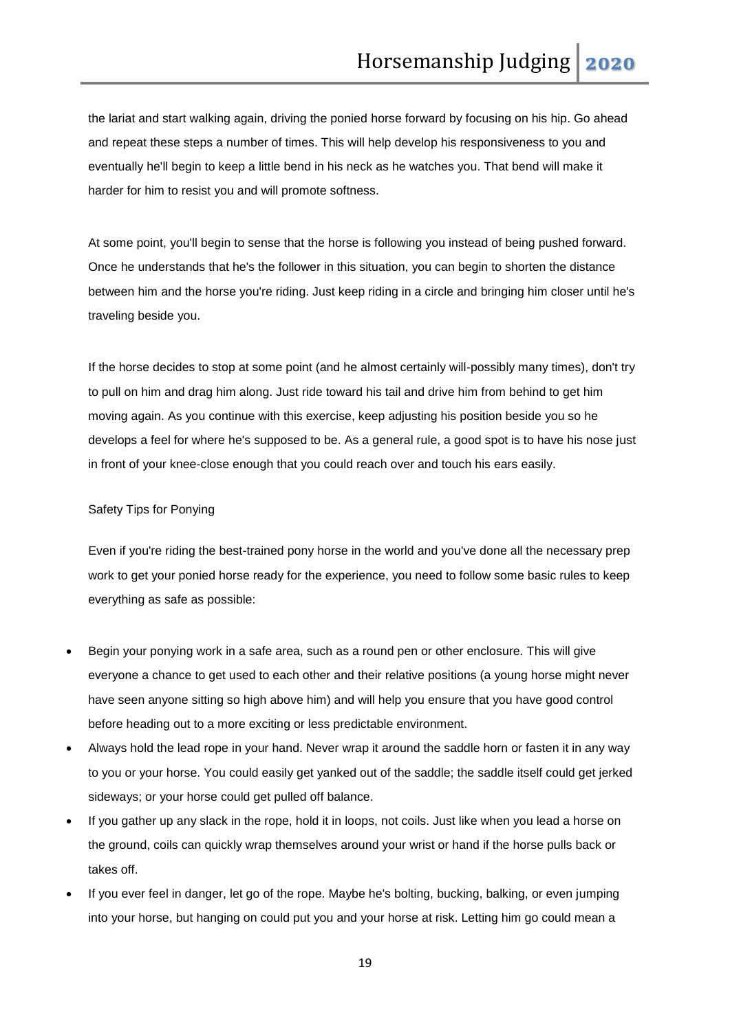the lariat and start walking again, driving the ponied horse forward by focusing on his hip. Go ahead and repeat these steps a number of times. This will help develop his responsiveness to you and eventually he'll begin to keep a little bend in his neck as he watches you. That bend will make it harder for him to resist you and will promote softness.

At some point, you'll begin to sense that the horse is following you instead of being pushed forward. Once he understands that he's the follower in this situation, you can begin to shorten the distance between him and the horse you're riding. Just keep riding in a circle and bringing him closer until he's traveling beside you.

If the horse decides to stop at some point (and he almost certainly will-possibly many times), don't try to pull on him and drag him along. Just ride toward his tail and drive him from behind to get him moving again. As you continue with this exercise, keep adjusting his position beside you so he develops a feel for where he's supposed to be. As a general rule, a good spot is to have his nose just in front of your knee-close enough that you could reach over and touch his ears easily.

#### Safety Tips for Ponying

Even if you're riding the best-trained pony horse in the world and you've done all the necessary prep work to get your ponied horse ready for the experience, you need to follow some basic rules to keep everything as safe as possible:

- Begin your ponying work in a safe area, such as a round pen or other enclosure. This will give everyone a chance to get used to each other and their relative positions (a young horse might never have seen anyone sitting so high above him) and will help you ensure that you have good control before heading out to a more exciting or less predictable environment.
- Always hold the lead rope in your hand. Never wrap it around the saddle horn or fasten it in any way to you or your horse. You could easily get yanked out of the saddle; the saddle itself could get jerked sideways; or your horse could get pulled off balance.
- If you gather up any slack in the rope, hold it in loops, not coils. Just like when you lead a horse on the ground, coils can quickly wrap themselves around your wrist or hand if the horse pulls back or takes off.
- If you ever feel in danger, let go of the rope. Maybe he's bolting, bucking, balking, or even jumping into your horse, but hanging on could put you and your horse at risk. Letting him go could mean a